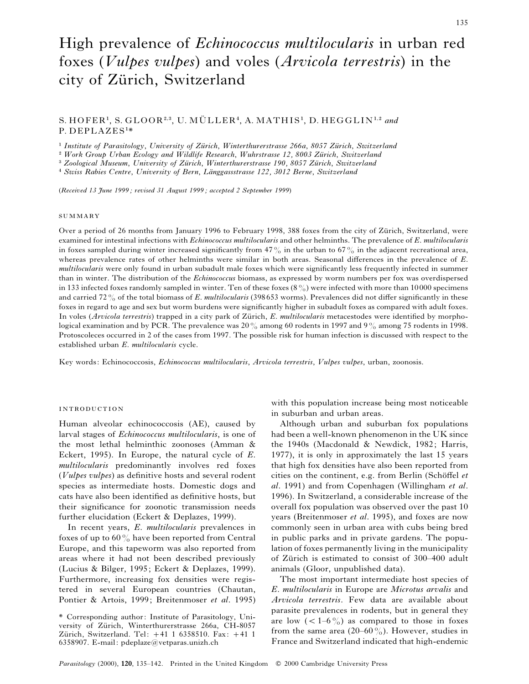# High prevalence of *Echinococcus multilocularis* in urban red foxes (*Vulpes vulpes*) and voles (*Arvicola terrestris*) in the city of Zürich, Switzerland

# $S. HOFER<sup>1</sup>, S. GLOOR<sup>2,3</sup>, U. MÜLLER<sup>4</sup>, A. MATHIS<sup>1</sup>, D. HEGGLIN<sup>1,2</sup> and$ P. DEPLAZES"\*

<sup>1</sup> Institute of Parasitology, University of Zürich, Winterthurerstrasse 266a, 8057 Zürich, Switzerland

<sup>2</sup> Work Group Urban Ecology and Wildlife Research, Wuhrstrasse 12, 8003 Zürich, Switzerland

<sup>3</sup> Zoological Museum, University of Zürich, Winterthurerstrasse 190, 8057 Zürich, Switzerland<br>A S

<sup>4</sup> Swiss Rabies Centre, *University of Bern*, *Länggassstrasse 122, 3012 Berne*, *Switzerland* 

(*Received 13 June 1999 ; revised 31 August 1999 ; accepted 2 September 1999*)

#### SUMMARY

Over a period of 26 months from January 1996 to February 1998, 388 foxes from the city of Zürich, Switzerland, were examined for intestinal infections with *Echinococcus multilocularis* and other helminths. The prevalence of *E*. *multilocularis* in foxes sampled during winter increased significantly from 47% in the urban to 67% in the adjacent recreational area, whereas prevalence rates of other helminths were similar in both areas. Seasonal differences in the prevalence of *E*. *multilocularis* were only found in urban subadult male foxes which were significantly less frequently infected in summer than in winter. The distribution of the *Echinococcus* biomass, as expressed by worm numbers per fox was overdispersed in 133 infected foxes randomly sampled in winter. Ten of these foxes  $(8\%)$  were infected with more than 10000 specimens and carried 72% of the total biomass of *E*. *multilocularis* (398 653 worms). Prevalences did not differ significantly in these foxes in regard to age and sex but worm burdens were significantly higher in subadult foxes as compared with adult foxes. In voles (*Arvicola terrestris*) trapped in a city park of Zürich, *E. multilocularis* metacestodes were identified by morphological examination and by PCR. The prevalence was  $20\%$  among 60 rodents in 1997 and 9% among 75 rodents in 1998. Protoscoleces occurred in 2 of the cases from 1997. The possible risk for human infection is discussed with respect to the established urban *E*. *multilocularis* cycle.

Key words: Echinococcosis, *Echinococcus multilocularis*, *Arvicola terrestris*, *Vulpes vulpes*, urban, zoonosis.

#### **INTRODUCTION**

Human alveolar echinococcosis (AE), caused by larval stages of *Echinococcus multilocularis*, is one of the most lethal helminthic zoonoses (Amman & Eckert, 1995). In Europe, the natural cycle of *E*. *multilocularis* predominantly involves red foxes (*Vulpes vulpes*) as definitive hosts and several rodent species as intermediate hosts. Domestic dogs and cats have also been identified as definitive hosts, but their significance for zoonotic transmission needs further elucidation (Eckert & Deplazes, 1999).

In recent years, *E*. *multilocularis* prevalences in foxes of up to  $60\%$  have been reported from Central Europe, and this tapeworm was also reported from areas where it had not been described previously (Lucius & Bilger, 1995; Eckert & Deplazes, 1999). Furthermore, increasing fox densities were registered in several European countries (Chautan, Pontier & Artois, 1999; Breitenmoser *et al*. 1995)

with this population increase being most noticeable in suburban and urban areas.

Although urban and suburban fox populations had been a well-known phenomenon in the UK since the 1940s (Macdonald & Newdick, 1982; Harris, 1977), it is only in approximately the last 15 years that high fox densities have also been reported from cities on the continent, e.g. from Berlin (Schöffel et *al*. 1991) and from Copenhagen (Willingham *et al*. 1996). In Switzerland, a considerable increase of the overall fox population was observed over the past 10 years (Breitenmoser *et al*. 1995), and foxes are now commonly seen in urban area with cubs being bred in public parks and in private gardens. The population of foxes permanently living in the municipality of Zürich is estimated to consist of 300–400 adult animals (Gloor, unpublished data).

The most important intermediate host species of *E*. *multilocularis* in Europe are *Microtus arvalis* and *Arvicola terrestris*. Few data are available about parasite prevalences in rodents, but in general they are low  $(< 1-6\frac{0}{0})$  as compared to those in foxes from the same area (20–60%). However, studies in France and Switzerland indicated that high-endemic

<sup>\*</sup> Corresponding author: Institute of Parasitology, University of Zürich, Winterthurerstrasse 266a, CH-8057 Zürich, Switzerland. Tel:  $+41$  1 6358510. Fax:  $+41$  1 6358907. E-mail: pdeplaze@vetparas.unizh.ch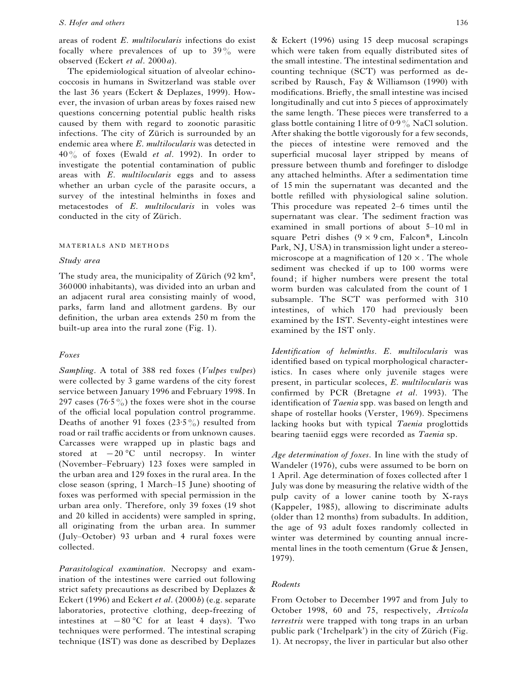#### *S*. *Hofer and others* 136

areas of rodent *E*. *multilocularis* infections do exist focally where prevalences of up to  $39\%$  were observed (Eckert *et al*. 2000*a*).

The epidemiological situation of alveolar echinococcosis in humans in Switzerland was stable over the last 36 years (Eckert & Deplazes, 1999). However, the invasion of urban areas by foxes raised new questions concerning potential public health risks caused by them with regard to zoonotic parasitic infections. The city of Zürich is surrounded by an endemic area where *E*. *multilocularis* was detected in 40% of foxes (Ewald *et al*. 1992). In order to investigate the potential contamination of public areas with *E*. *multilocularis* eggs and to assess whether an urban cycle of the parasite occurs, a survey of the intestinal helminths in foxes and metacestodes of *E*. *multilocularis* in voles was conducted in the city of Zürich.

#### MATERIALS AND METHODS

#### *Study area*

The study area, the municipality of Zürich (92 km<sup>2</sup>, 360 000 inhabitants), was divided into an urban and an adjacent rural area consisting mainly of wood, parks, farm land and allotment gardens. By our definition, the urban area extends 250 m from the built-up area into the rural zone (Fig. 1).

#### *Foxes*

*Sampling*. A total of 388 red foxes (*Vulpes vulpes*) were collected by 3 game wardens of the city forest service between January 1996 and February 1998. In 297 cases (76.5%) the foxes were shot in the course of the official local population control programme. Deaths of another 91 foxes (23.5%) resulted from road or rail traffic accidents or from unknown causes. Carcasses were wrapped up in plastic bags and stored at  $-20$  °C until necropsy. In winter (November–February) 123 foxes were sampled in the urban area and 129 foxes in the rural area. In the close season (spring, 1 March–15 June) shooting of foxes was performed with special permission in the urban area only. Therefore, only 39 foxes (19 shot and 20 killed in accidents) were sampled in spring, all originating from the urban area. In summer (July–October) 93 urban and 4 rural foxes were collected.

*Parasitological examination*. Necropsy and examination of the intestines were carried out following strict safety precautions as described by Deplazes & Eckert (1996) and Eckert *et al*. (2000*b*) (e.g. separate laboratories, protective clothing, deep-freezing of intestines at  $-80$  °C for at least 4 days). Two techniques were performed. The intestinal scraping technique (IST) was done as described by Deplazes & Eckert (1996) using 15 deep mucosal scrapings which were taken from equally distributed sites of the small intestine. The intestinal sedimentation and counting technique (SCT) was performed as described by Rausch, Fay & Williamson (1990) with modifications. Briefly, the small intestine was incised longitudinally and cut into 5 pieces of approximately the same length. These pieces were transferred to a glass bottle containing 1 litre of  $0.9\%$  NaCl solution. After shaking the bottle vigorously for a few seconds, the pieces of intestine were removed and the superficial mucosal layer stripped by means of pressure between thumb and forefinger to dislodge any attached helminths. After a sedimentation time of 15 min the supernatant was decanted and the bottle refilled with physiological saline solution. This procedure was repeated 2–6 times until the supernatant was clear. The sediment fraction was examined in small portions of about 5–10 ml in square Petri dishes  $(9 \times 9 \text{ cm}, \text{ Falcon}^*$ , Lincoln Park, NJ, USA) in transmission light under a stereomicroscope at a magnification of  $120 \times$ . The whole sediment was checked if up to 100 worms were found; if higher numbers were present the total worm burden was calculated from the count of 1 subsample. The SCT was performed with 310 intestines, of which 170 had previously been examined by the IST. Seventy-eight intestines were examined by the IST only.

*Identification of helminths*. *E*. *multilocularis* was identified based on typical morphological characteristics. In cases where only juvenile stages were present, in particular scoleces, *E*. *multilocularis* was confirmed by PCR (Bretagne *et al*. 1993). The identification of *Taenia* spp. was based on length and shape of rostellar hooks (Verster, 1969). Specimens lacking hooks but with typical *Taenia* proglottids bearing taeniid eggs were recorded as *Taenia* sp.

*Age determination of foxes*. In line with the study of Wandeler (1976), cubs were assumed to be born on 1 April. Age determination of foxes collected after 1 July was done by measuring the relative width of the pulp cavity of a lower canine tooth by X-rays (Kappeler, 1985), allowing to discriminate adults (older than 12 months) from subadults. In addition, the age of 93 adult foxes randomly collected in winter was determined by counting annual incremental lines in the tooth cementum (Grue & Jensen, 1979).

## *Rodents*

From October to December 1997 and from July to October 1998, 60 and 75, respectively, *Arvicola terrestris* were trapped with tong traps in an urban public park ('Irchelpark') in the city of Zürich (Fig. 1). At necropsy, the liver in particular but also other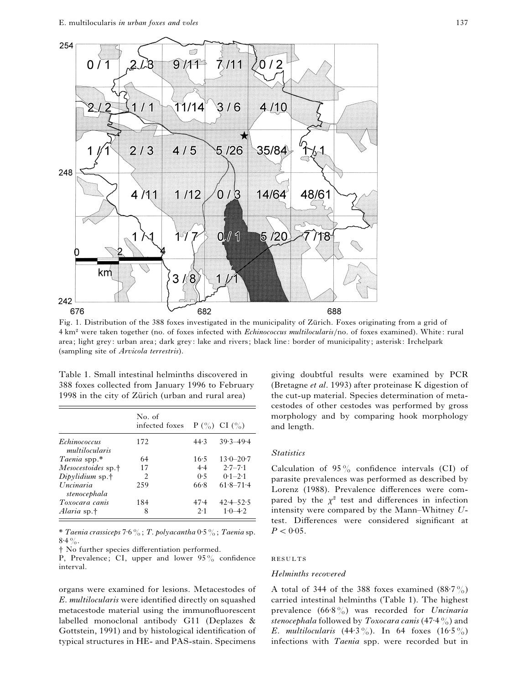

Fig. 1. Distribution of the 388 foxes investigated in the municipality of Zürich. Foxes originating from a grid of 4 km<sup>2</sup> were taken together (no. of foxes infected with *Echinococcus multilocularis*/no. of foxes examined). White: rural area; light grey: urban area; dark grey: lake and rivers; black line: border of municipality; asterisk: Irchelpark (sampling site of *Arvicola terrestris*).

|                                       | No. of<br>infected foxes $P(\frac{\%}{0})$ CI $(\frac{\%}{0})$ |      |               |
|---------------------------------------|----------------------------------------------------------------|------|---------------|
| <b>Echinococcus</b><br>multilocularis | 172                                                            | 44.3 | $39.3 - 49.4$ |
| Taenia spp.*                          | 64                                                             | 16:5 | $13.0 - 20.7$ |
| Mesocestoides sp. <sup>†</sup>        | 17                                                             | 4.4  | $2.7 - 7.1$   |
| $Diaylidium$ sp. <sup>†</sup>         | $\mathfrak{D}$                                                 | 0.5  | $0.1 - 2.1$   |
| Uncinaria<br>stenocephala             | 259                                                            | 66.8 | $61.8 - 71.4$ |
| Toxocara canis                        | 184                                                            | 47.4 | $42.4 - 52.5$ |
| Alaria sp.†                           | 8                                                              | 2.1  | $1.0 - 4.2$   |

Table 1. Small intestinal helminths discovered in 388 foxes collected from January 1996 to February 1998 in the city of Zürich (urban and rural area)

\* *Taenia crassiceps* 7±6%; *T*. *polyacantha* 0±5%; *Taenia* sp.  $8.4\%$ .

† No further species differentiation performed.

P, Prevalence; CI, upper and lower 95% confidence interval.

organs were examined for lesions. Metacestodes of *E*. *multilocularis* were identified directly on squashed metacestode material using the immunofluorescent labelled monoclonal antibody G11 (Deplazes & Gottstein, 1991) and by histological identification of typical structures in HE- and PAS-stain. Specimens

giving doubtful results were examined by PCR (Bretagne *et al*. 1993) after proteinase K digestion of the cut-up material. Species determination of metacestodes of other cestodes was performed by gross morphology and by comparing hook morphology and length.

#### *Statistics*

Calculation of  $95\%$  confidence intervals (CI) of parasite prevalences was performed as described by Lorenz (1988). Prevalence differences were compared by the  $\chi^2$  test and differences in infection intensity were compared by the Mann–Whitney *U*test. Differences were considered significant at  $P < 0.05$ .

#### RESULTS

#### *Helminths recovered*

A total of 344 of the 388 foxes examined  $(88.7\%)$ carried intestinal helminths (Table 1). The highest prevalence (66±8%) was recorded for *Uncinaria stenocephala* followed by *Toxocara canis* (47±4%) and *E. multilocularis*  $(44.3\%)$ . In 64 foxes  $(16.5\%)$ infections with *Taenia* spp. were recorded but in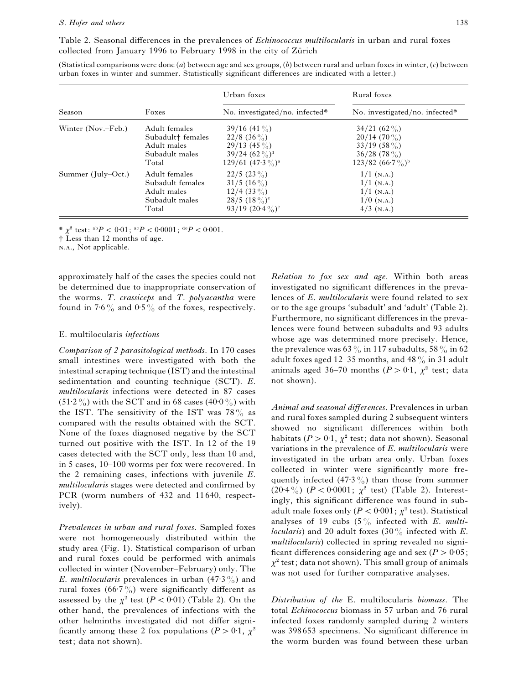Table 2. Seasonal differences in the prevalences of *Echinococcus multilocularis* in urban and rural foxes collected from January 1996 to February 1998 in the city of Zürich

(Statistical comparisons were done (*a*) between age and sex groups, (*b*) between rural and urban foxes in winter, (*c*) between urban foxes in winter and summer. Statistically significant differences are indicated with a letter.)

|                                                                                                                |       | Urban foxes                                                                                           | Rural foxes<br>No. investigated/no. infected*                                             |  |
|----------------------------------------------------------------------------------------------------------------|-------|-------------------------------------------------------------------------------------------------------|-------------------------------------------------------------------------------------------|--|
| Season                                                                                                         | Foxes | No. investigated/no. infected*                                                                        |                                                                                           |  |
| Winter (Nov.–Feb.)<br>Adult females<br>Subadult <sup>†</sup> females<br>Adult males<br>Subadult males<br>Total |       | $39/16$ (41 %)<br>$22/8$ (36 %)<br>$29/13$ (45 %)<br>$39/24$ $(62\%)^d$<br>$129/61$ $(47.3\%)^a$      | $34/21$ (62 %)<br>$20/14(70\%)$<br>$33/19$ (58 %)<br>$36/28$ (78%)<br>$123/82 (66.7\%)^b$ |  |
| Summer (July-Oct.)<br>Adult females<br>Subadult females<br>Adult males<br>Subadult males<br>Total              |       | $22/5$ (23 %)<br>$31/5$ (16 %)<br>$12/4$ (33 %)<br>$28/5$ $(18\%)^e$<br>93/19 $(20.4\%)$ <sup>e</sup> | $1/1$ (N.A.)<br>$1/1$ (N.A.)<br>$1/1$ (N.A.)<br>$1/0$ (N.A.)<br>$4/3$ (N.A.)              |  |

\*  $\chi^2$  test: <sup>ab</sup> $P$ </sup> < 0.01; <sup>ac</sup> $P$  < 0.0001; <sup>de</sup> $P$  < 0.001.

† Less than 12 months of age.

N.A., Not applicable.

approximately half of the cases the species could not be determined due to inappropriate conservation of the worms. *T*. *crassiceps* and *T*. *polyacantha* were found in 7:6% and 0:5% of the foxes, respectively.

#### E. multilocularis *infections*

*Comparison of 2 parasitological methods*. In 170 cases small intestines were investigated with both the intestinal scraping technique (IST) and the intestinal sedimentation and counting technique (SCT). *E*. *multilocularis* infections were detected in 87 cases  $(51.2\%)$  with the SCT and in 68 cases (40.0%) with the IST. The sensitivity of the IST was  $78\%$  as compared with the results obtained with the SCT. None of the foxes diagnosed negative by the SCT turned out positive with the IST. In 12 of the 19 cases detected with the SCT only, less than 10 and, in 5 cases, 10–100 worms per fox were recovered. In the 2 remaining cases, infections with juvenile *E*. *multilocularis* stages were detected and confirmed by PCR (worm numbers of 432 and 11640, respectively).

*Prevalences in urban and rural foxes*. Sampled foxes were not homogeneously distributed within the study area (Fig. 1). Statistical comparison of urban and rural foxes could be performed with animals collected in winter (November–February) only. The *E*. *multilocularis* prevalences in urban  $(47.3\%)$  and rural foxes (66.7%) were significantly different as assessed by the  $\chi^2$  test ( $P < 0.01$ ) (Table 2). On the other hand, the prevalences of infections with the other helminths investigated did not differ significantly among these 2 fox populations ( $P > 0.1$ ,  $\chi^2$ ) test; data not shown).

*Relation to fox sex and age*. Within both areas investigated no significant differences in the prevalences of *E*. *multilocularis* were found related to sex or to the age groups 'subadult' and 'adult' (Table 2). Furthermore, no significant differences in the prevalences were found between subadults and 93 adults whose age was determined more precisely. Hence, the prevalence was 63% in 117 subadults, 58% in 62 adult foxes aged 12–35 months, and 48 $\%$  in 31 adult animals aged 36–70 months ( $P > 0.1$ ,  $\chi^2$  test; data not shown).

*Animal and seasonal differences*. Prevalences in urban and rural foxes sampled during 2 subsequent winters showed no significant differences within both habitats ( $P > 0.1$ ,  $\chi^2$  test; data not shown). Seasonal variations in the prevalence of *E*. *multilocularis* were investigated in the urban area only. Urban foxes collected in winter were significantly more frequently infected (47.3%) than those from summer  $(20.4\%)$   $(P < 0.0001; \chi^2$  test) (Table 2). Interestingly, this significant difference was found in subadult male foxes only ( $P < 0.001$ ;  $\chi^2$  test). Statistical analyses of 19 cubs  $(5\%$  infected with *E*. *multilocularis*) and 20 adult foxes (30% infected with *E*. *multilocularis*) collected in spring revealed no significant differences considering age and sex ( $P > 0.05$ ;  $\chi^2$  test; data not shown). This small group of animals was not used for further comparative analyses.

*Distribution of the* E. multilocularis *biomass*. The total *Echinococcus* biomass in 57 urban and 76 rural infected foxes randomly sampled during 2 winters was 398 653 specimens. No significant difference in the worm burden was found between these urban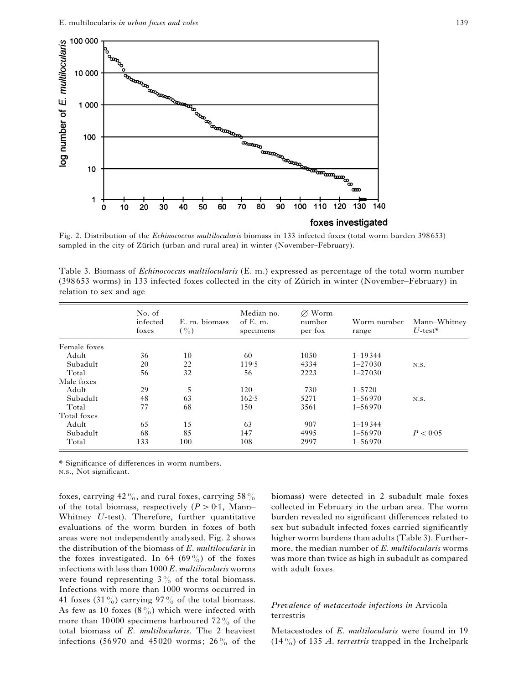

Fig. 2. Distribution of the *Echinococcus multilocularis* biomass in 133 infected foxes (total worm burden 398653) sampled in the city of Zürich (urban and rural area) in winter (November–February).

| Table 3. Biomass of <i>Echinococcus multilocularis</i> (E. m.) expressed as percentage of the total worm number |
|-----------------------------------------------------------------------------------------------------------------|
| (398653 worms) in 133 infected foxes collected in the city of Zürich in winter (November–February) in           |
| relation to sex and age                                                                                         |

|              | No. of<br>infected<br>foxes | E. m. biomass<br>$($ %) | Median no.<br>of $E.$ m.<br>specimens | $\varnothing$ Worm<br>number<br>per fox | Worm number<br>range | Mann-Whitney<br>$U$ -test* |
|--------------|-----------------------------|-------------------------|---------------------------------------|-----------------------------------------|----------------------|----------------------------|
| Female foxes |                             |                         |                                       |                                         |                      |                            |
| Adult        | 36                          | 10                      | 60                                    | 1050                                    | $1 - 19344$          | N.S.                       |
| Subadult     | 20                          | 22                      | 119.5                                 | 4334                                    | $1 - 27030$          |                            |
| Total        | 56                          | 32                      | 56                                    | 2223                                    | $1 - 27030$          |                            |
| Male foxes   |                             |                         |                                       |                                         |                      |                            |
| Adult        | 29                          | 5                       | 120                                   | 730                                     | $1 - 5720$           |                            |
| Subadult     | 48                          | 63                      | 162.5                                 | 5271                                    | $1 - 56970$          | N.S.                       |
| Total        | 77                          | 68                      | 150                                   | 3561                                    | $1 - 56970$          |                            |
| Total foxes  |                             |                         |                                       |                                         |                      |                            |
| Adult        | 65                          | 15                      | 63                                    | 907                                     | $1 - 19344$          |                            |
| Subadult     | 68                          | 85                      | 147                                   | 4995                                    | $1 - 56970$          | P < 0.05                   |
| Total        | 133                         | 100                     | 108                                   | 2997                                    | $1 - 56970$          |                            |

\* Significance of differences in worm numbers.

.., Not significant.

foxes, carrying  $42\%$ , and rural foxes, carrying  $58\%$ of the total biomass, respectively  $(P > 0.1,$  Mann– Whitney *U*-test). Therefore, further quantitative evaluations of the worm burden in foxes of both areas were not independently analysed. Fig. 2 shows the distribution of the biomass of *E*. *multilocularis* in the foxes investigated. In 64 (69%) of the foxes infections with less than 1000 *E*. *multilocularis* worms were found representing  $3\frac{9}{0}$  of the total biomass. Infections with more than 1000 worms occurred in 41 foxes (31%) carrying 97% of the total biomass. As few as 10 foxes  $(8\%)$  which were infected with more than 10000 specimens harboured 72 $\%$  of the total biomass of *E*. *multilocularis*. The 2 heaviest infections (56970 and 45020 worms; 26 $\frac{9}{6}$  of the biomass) were detected in 2 subadult male foxes collected in February in the urban area. The worm burden revealed no significant differences related to sex but subadult infected foxes carried significantly higher worm burdens than adults (Table 3). Furthermore, the median number of *E*. *multilocularis* worms was more than twice as high in subadult as compared with adult foxes.

## *Prevalence of metacestode infections in* Arvicola terrestris

Metacestodes of *E*. *multilocularis* were found in 19 (14%) of 135 *A*. *terrestris* trapped in the Irchelpark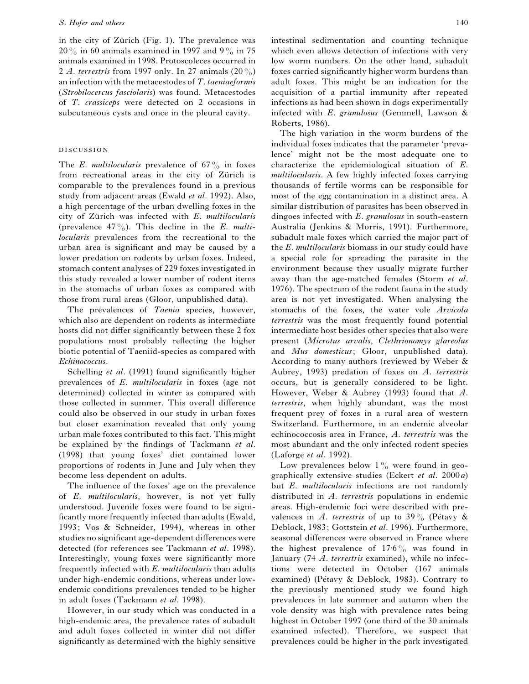in the city of Zürich (Fig. 1). The prevalence was  $20\%$  in 60 animals examined in 1997 and 9% in 75 animals examined in 1998. Protoscoleces occurred in 2 *A*. *terrestris* from 1997 only. In 27 animals (20%) an infection with the metacestodes of *T*. *taeniaeformis* (*Strobilocercus fasciolaris*) was found. Metacestodes of *T*. *crassiceps* were detected on 2 occasions in subcutaneous cysts and once in the pleural cavity.

#### **DISCUSSION**

The *E*. *multilocularis* prevalence of  $67\%$  in foxes from recreational areas in the city of Zürich is comparable to the prevalences found in a previous study from adjacent areas (Ewald *et al*. 1992). Also, a high percentage of the urban dwelling foxes in the city of Zürich was infected with *E*. *multilocularis* (prevalence 47%). This decline in the *E*. *multilocularis* prevalences from the recreational to the urban area is significant and may be caused by a lower predation on rodents by urban foxes. Indeed, stomach content analyses of 229 foxes investigated in this study revealed a lower number of rodent items in the stomachs of urban foxes as compared with those from rural areas (Gloor, unpublished data).

The prevalences of *Taenia* species, however, which also are dependent on rodents as intermediate hosts did not differ significantly between these 2 fox populations most probably reflecting the higher biotic potential of Taeniid-species as compared with *Echinococcus*.

Schelling *et al*. (1991) found significantly higher prevalences of *E*. *multilocularis* in foxes (age not determined) collected in winter as compared with those collected in summer. This overall difference could also be observed in our study in urban foxes but closer examination revealed that only young urban male foxes contributed to this fact. This might be explained by the findings of Tackmann *et al*. (1998) that young foxes' diet contained lower proportions of rodents in June and July when they become less dependent on adults.

The influence of the foxes' age on the prevalence of *E*. *multilocularis*, however, is not yet fully understood. Juvenile foxes were found to be significantly more frequently infected than adults (Ewald, 1993; Vos & Schneider, 1994), whereas in other studies no significant age-dependent differences were detected (for references see Tackmann *et al*. 1998). Interestingly, young foxes were significantly more frequently infected with *E*. *multilocularis* than adults under high-endemic conditions, whereas under lowendemic conditions prevalences tended to be higher in adult foxes (Tackmann *et al*. 1998).

However, in our study which was conducted in a high-endemic area, the prevalence rates of subadult and adult foxes collected in winter did not differ significantly as determined with the highly sensitive intestinal sedimentation and counting technique which even allows detection of infections with very low worm numbers. On the other hand, subadult foxes carried significantly higher worm burdens than adult foxes. This might be an indication for the acquisition of a partial immunity after repeated infections as had been shown in dogs experimentally infected with *E*. *granulosus* (Gemmell, Lawson & Roberts, 1986).

The high variation in the worm burdens of the individual foxes indicates that the parameter 'prevalence' might not be the most adequate one to characterize the epidemiological situation of *E*. *multilocularis*. A few highly infected foxes carrying thousands of fertile worms can be responsible for most of the egg contamination in a distinct area. A similar distribution of parasites has been observed in dingoes infected with *E*. *granulosus* in south-eastern Australia (Jenkins & Morris, 1991). Furthermore, subadult male foxes which carried the major part of the *E*. *multilocularis* biomass in our study could have a special role for spreading the parasite in the environment because they usually migrate further away than the age-matched females (Storm *et al*. 1976). The spectrum of the rodent fauna in the study area is not yet investigated. When analysing the stomachs of the foxes, the water vole *Arvicola terrestris* was the most frequently found potential intermediate host besides other species that also were present (*Microtus arvalis*, *Clethrionomys glareolus* and *Mus domesticus*; Gloor, unpublished data). According to many authors (reviewed by Weber & Aubrey, 1993) predation of foxes on *A*. *terrestris* occurs, but is generally considered to be light. However, Weber & Aubrey (1993) found that *A*. *terrestris*, when highly abundant, was the most frequent prey of foxes in a rural area of western Switzerland. Furthermore, in an endemic alveolar echinococcosis area in France, *A*. *terrestris* was the most abundant and the only infected rodent species (Laforge *et al*. 1992).

Low prevalences below  $1\%$  were found in geographically extensive studies (Eckert *et al*. 2000*a*) but *E*. *multilocularis* infections are not randomly distributed in *A*. *terrestris* populations in endemic areas. High-endemic foci were described with prevalences in *A*. *terrestris* of up to 39% (Pétavy & Deblock, 1983; Gottstein *et al*. 1996). Furthermore, seasonal differences were observed in France where the highest prevalence of  $17.6\%$  was found in January (74 *A*. *terrestris* examined), while no infections were detected in October (167 animals examined) (Pétavy & Deblock, 1983). Contrary to the previously mentioned study we found high prevalences in late summer and autumn when the vole density was high with prevalence rates being highest in October 1997 (one third of the 30 animals examined infected). Therefore, we suspect that prevalences could be higher in the park investigated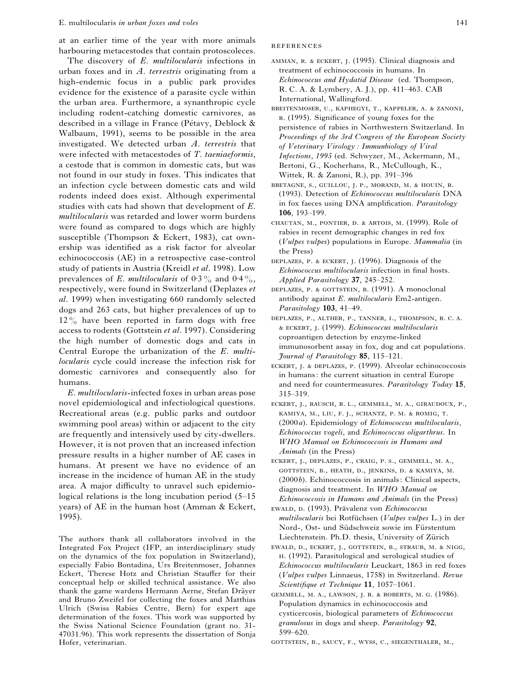at an earlier time of the year with more animals harbouring metacestodes that contain protoscoleces.

The discovery of *E*. *multilocularis* infections in urban foxes and in *A*. *terrestris* originating from a high-endemic focus in a public park provides evidence for the existence of a parasite cycle within the urban area. Furthermore, a synanthropic cycle including rodent-catching domestic carnivores, as described in a village in France (Pétavy, Deblock  $\&$ Walbaum, 1991), seems to be possible in the area investigated. We detected urban *A*. *terrestris* that were infected with metacestodes of *T*. *taeniaeformis*, a cestode that is common in domestic cats, but was not found in our study in foxes. This indicates that an infection cycle between domestic cats and wild rodents indeed does exist. Although experimental studies with cats had shown that development of *E*. *multilocularis* was retarded and lower worm burdens were found as compared to dogs which are highly susceptible (Thompson & Eckert, 1983), cat ownership was identified as a risk factor for alveolar echinococcosis (AE) in a retrospective case-control study of patients in Austria (Kreidl *et al*. 1998). Low prevalences of *E*. *multilocularis* of  $0.3\%$  and  $0.4\%$ , respectively, were found in Switzerland (Deplazes *et al*. 1999) when investigating 660 randomly selected dogs and 263 cats, but higher prevalences of up to  $12\%$  have been reported in farm dogs with free access to rodents (Gottstein *et al*. 1997). Considering the high number of domestic dogs and cats in Central Europe the urbanization of the *E*. *multilocularis* cycle could increase the infection risk for domestic carnivores and consequently also for humans.

*E*. *multilocularis*-infected foxes in urban areas pose novel epidemiological and infectiological questions. Recreational areas (e.g. public parks and outdoor swimming pool areas) within or adjacent to the city are frequently and intensively used by city-dwellers. However, it is not proven that an increased infection pressure results in a higher number of AE cases in humans. At present we have no evidence of an increase in the incidence of human AE in the study area. A major difficulty to unravel such epidemiological relations is the long incubation period (5–15 years) of AE in the human host (Amman & Eckert, 1995).

The authors thank all collaborators involved in the Integrated Fox Project (IFP, an interdisciplinary study on the dynamics of the fox population in Switzerland), especially Fabio Bontadina, Urs Breitenmoser, Johannes Eckert, Therese Hotz and Christian Stauffer for their conceptual help or skilled technical assistance. We also thank the game wardens Hermann Aerne, Stefan Dräver and Bruno Zweifel for collecting the foxes and Matthias Ulrich (Swiss Rabies Centre, Bern) for expert age determination of the foxes. This work was supported by the Swiss National Science Foundation (grant no. 31- 47031.96). This work represents the dissertation of Sonja Hofer, veterinarian.

#### **REFERENCES**

- AMMAN, R. & ECKERT, J. (1995). Clinical diagnosis and treatment of echinococcosis in humans. In *Echinococcus and Hydatid Disease* (ed. Thompson, R. C. A. & Lymbery, A. J.), pp. 411–463. CAB International, Wallingford.
- BREITENMOSER, U., KAPHEGYI, T., KAPPELER, A. & ZANONI, . (1995). Significance of young foxes for the persistence of rabies in Northwestern Switzerland. In *Proceedings of the 3rd Congress of the European Society of Veterinary Virology : Immunbiology of Viral Infections, 1995* (ed. Schwyzer, M., Ackermann, M., Bertoni, G., Kocherhans, R., McCullough, K., Wittek, R. & Zanoni, R.), pp. 391–396
- BRETAGNE, S., GUILLOU, J. P., MORAND, M. & HOUIN, R. (1993). Detection of *Echinococcus multilocularis* DNA in fox faeces using DNA amplification. *Parasitology* **106**, 193–199.
- CHAUTAN, M., PONTIER, D. & ARTOIS, M. (1999). Role of rabies in recent demographic changes in red fox (*Vulpes vulpes*) populations in Europe. *Mammalia* (in the Press)
- DEPLAZES, P. & ECKERT, J. (1996). Diagnosis of the *Echinococcus multilocularis* infection in final hosts. *Applied Parasitology* **37**, 245–252.
- DEPLAZES, P. & GOTTSTEIN, B. (1991). A monoclonal antibody against *E*. *multilocularis* Em2-antigen. *Parasitology* **103**, 41–49.
- DEPLAZES, P., ALTHER, P., TANNER, I., THOMPSON, R. C. A. , . (1999). *Echinococcus multilocularis* coproantigen detection by enzyme-linked immunosorbent assay in fox, dog and cat populations. *Journal of Parasitology* **85**, 115–121.
- ECKERT, J. & DEPLAZES, P. (1999). Alveolar echinococcosis in humans: the current situation in central Europe and need for countermeasures. *Parasitology Today* **15**, 315–319.
- ECKERT, J., RAUSCH, R. L., GEMMELL, M. A., GIRAUDOUX, P., KAMIYA, M., LIU, F. J., SCHANTZ, P. M. & ROMIG, T. (2000*a*). Epidemiology of *Echinococcus multilocularis*, *Echinococcus vogeli*, and *Echinococcus oligarthrus*. In *WHO Manual on Echinococcosis in Humans and Animals* (in the Press)
- ECKERT, J., DEPLAZES, P., CRAIG, P. S., GEMMELL, M. A., GOTTSTEIN, B., HEATH, D., JENKINS, D. & KAMIYA, M. (2000*b*). Echinococcosis in animals: Clinical aspects, diagnosis and treatment. In *WHO Manual on Echinococcosis in Humans and Animals* (in the Press)
- EWALD, D. (1993). Prävalenz von *Echinococcus*  $multilocularis$  bei Rotfüchsen (*Vulpes vulpes* L.) in der Nord-, Ost- und Südschweiz sowie im Fürstentum Liechtenstein. Ph.D. thesis, University of Zürich
- EWALD, D., ECKERT, J., GOTTSTEIN, B., STRAUB, M. & NIGG, . (1992). Parasitological and serological studies of *Echinococcus multilocularis* Leuckart, 1863 in red foxes (*Vulpes vulpes* Linnaeus, 1758) in Switzerland. *Revue Scientifique et Technique* **11**, 1057–1061.
- GEMMELL, M. A., LAWSON, J. R. & ROBERTS, M. G. (1986). Population dynamics in echinococcosis and cysticercosis, biological parameters of *Echinococcus granulosus* in dogs and sheep. *Parasitology* **92**, 599–620.

GOTTSTEIN, B., SAUCY, F., WYSS, C., SIEGENTHALER, M.,